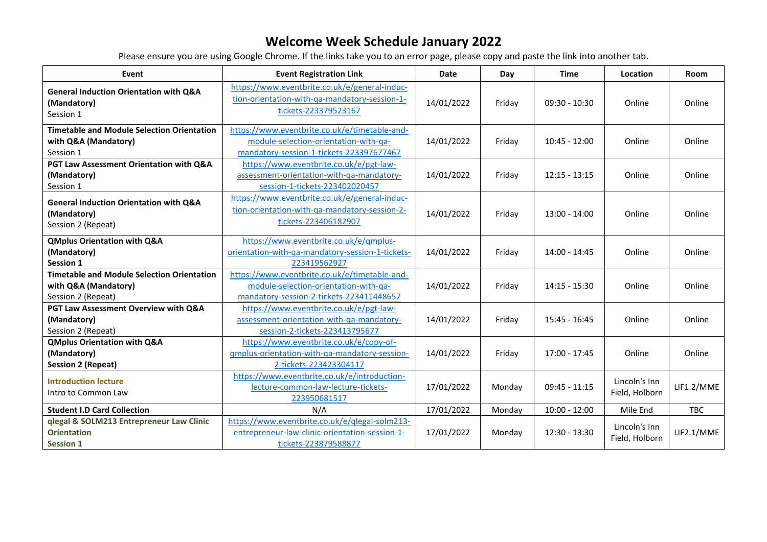| Event                                                                                           | <b>Event Registration Link</b>                                                                                                     | <b>Date</b> | Day    | <b>Time</b>     | Location                        | <b>Room</b> |
|-------------------------------------------------------------------------------------------------|------------------------------------------------------------------------------------------------------------------------------------|-------------|--------|-----------------|---------------------------------|-------------|
| <b>General Induction Orientation with Q&amp;A</b><br>(Mandatory)<br>Session 1                   | https://www.eventbrite.co.uk/e/general-induc-<br>tion-orientation-with-qa-mandatory-session-1-<br>tickets-223379523167             | 14/01/2022  | Friday | $09:30 - 10:30$ | Online                          | Online      |
| <b>Timetable and Module Selection Orientation</b><br>with Q&A (Mandatory)<br>Session 1          | https://www.eventbrite.co.uk/e/timetable-and-<br>module-selection-orientation-with-qa-<br>mandatory-session-1-tickets-223397677467 | 14/01/2022  | Friday | $10:45 - 12:00$ | Online                          | Online      |
| PGT Law Assessment Orientation with Q&A<br>(Mandatory)<br>Session 1                             | https://www.eventbrite.co.uk/e/pgt-law-<br>assessment-orientation-with-qa-mandatory-<br>session-1-tickets-223402020457             | 14/01/2022  | Friday | $12:15 - 13:15$ | Online                          | Online      |
| <b>General Induction Orientation with Q&amp;A</b><br>(Mandatory)<br>Session 2 (Repeat)          | https://www.eventbrite.co.uk/e/general-induc-<br>tion-orientation-with-ga-mandatory-session-2-<br>tickets-223406182907             | 14/01/2022  | Friday | $13:00 - 14:00$ | Online                          | Online      |
| <b>QMplus Orientation with Q&amp;A</b><br>(Mandatory)<br>Session 1                              | https://www.eventbrite.co.uk/e/gmplus-<br>orientation-with-qa-mandatory-session-1-tickets-<br>223419562927                         | 14/01/2022  | Friday | 14:00 - 14:45   | Online                          | Online      |
| <b>Timetable and Module Selection Orientation</b><br>with Q&A (Mandatory)<br>Session 2 (Repeat) | https://www.eventbrite.co.uk/e/timetable-and-<br>module-selection-orientation-with-qa-<br>mandatory-session-2-tickets-223411448657 | 14/01/2022  | Friday | 14:15 - 15:30   | Online                          | Online      |
| PGT Law Assessment Overview with Q&A<br>(Mandatory)<br>Session 2 (Repeat)                       | https://www.eventbrite.co.uk/e/pgt-law-<br>assessment-orientation-with-qa-mandatory-<br>session-2-tickets-223413795677             | 14/01/2022  | Friday | $15:45 - 16:45$ | Online                          | Online      |
| <b>QMplus Orientation with Q&amp;A</b><br>(Mandatory)<br><b>Session 2 (Repeat)</b>              | https://www.eventbrite.co.uk/e/copy-of-<br>qmplus-orientation-with-qa-mandatory-session-<br>2-tickets-223423304117                 | 14/01/2022  | Friday | $17:00 - 17:45$ | Online                          | Online      |
| <b>Introduction lecture</b><br>Intro to Common Law                                              | https://www.eventbrite.co.uk/e/introduction-<br>lecture-common-law-lecture-tickets-<br>223950681517                                | 17/01/2022  | Monday | $09:45 - 11:15$ | Lincoln's Inn<br>Field, Holborn | LIF1.2/MME  |
| <b>Student I.D Card Collection</b>                                                              | N/A                                                                                                                                | 17/01/2022  | Monday | $10:00 - 12:00$ | Mile End                        | <b>TBC</b>  |
| qlegal & SOLM213 Entrepreneur Law Clinic<br><b>Orientation</b><br><b>Session 1</b>              | https://www.eventbrite.co.uk/e/qlegal-solm213-<br>entrepreneur-law-clinic-orientation-session-1-<br>tickets-223879588877           | 17/01/2022  | Monday | $12:30 - 13:30$ | Lincoln's Inn<br>Field, Holborn | LIF2.1/MME  |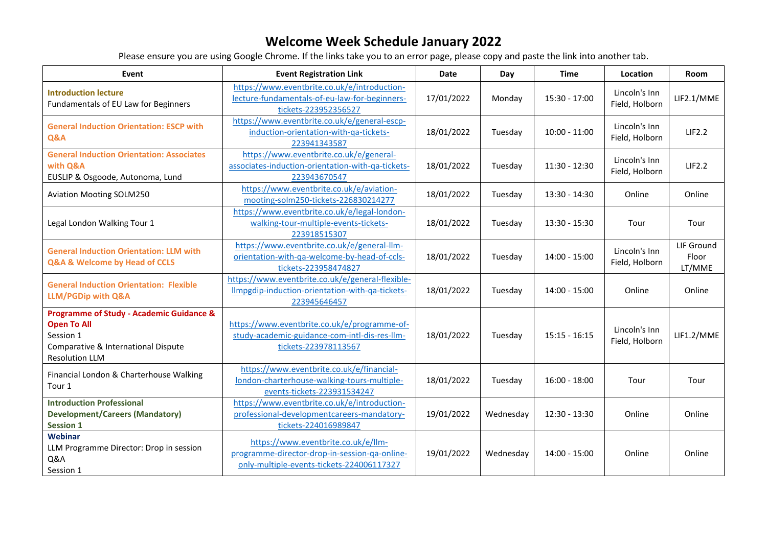| Event                                                                                                                                                  | <b>Event Registration Link</b>                                                                                                    | <b>Date</b> | Day       | <b>Time</b>     | Location                        | <b>Room</b>                   |
|--------------------------------------------------------------------------------------------------------------------------------------------------------|-----------------------------------------------------------------------------------------------------------------------------------|-------------|-----------|-----------------|---------------------------------|-------------------------------|
| <b>Introduction lecture</b><br>Fundamentals of EU Law for Beginners                                                                                    | https://www.eventbrite.co.uk/e/introduction-<br>lecture-fundamentals-of-eu-law-for-beginners-<br>tickets-223952356527             | 17/01/2022  | Monday    | 15:30 - 17:00   | Lincoln's Inn<br>Field, Holborn | LIF2.1/MME                    |
| <b>General Induction Orientation: ESCP with</b><br><b>Q&amp;A</b>                                                                                      | https://www.eventbrite.co.uk/e/general-escp-<br>induction-orientation-with-qa-tickets-<br>223941343587                            | 18/01/2022  | Tuesday   | $10:00 - 11:00$ | Lincoln's Inn<br>Field, Holborn | LIF2.2                        |
| <b>General Induction Orientation: Associates</b><br>with Q&A<br>EUSLIP & Osgoode, Autonoma, Lund                                                       | https://www.eventbrite.co.uk/e/general-<br>associates-induction-orientation-with-qa-tickets-<br>223943670547                      | 18/01/2022  | Tuesday   | $11:30 - 12:30$ | Lincoln's Inn<br>Field, Holborn | LIF2.2                        |
| <b>Aviation Mooting SOLM250</b>                                                                                                                        | https://www.eventbrite.co.uk/e/aviation-<br>mooting-solm250-tickets-226830214277                                                  | 18/01/2022  | Tuesday   | $13:30 - 14:30$ | Online                          | Online                        |
| Legal London Walking Tour 1                                                                                                                            | https://www.eventbrite.co.uk/e/legal-london-<br>walking-tour-multiple-events-tickets-<br>223918515307                             | 18/01/2022  | Tuesday   | $13:30 - 15:30$ | Tour                            | Tour                          |
| <b>General Induction Orientation: LLM with</b><br>Q&A & Welcome by Head of CCLS                                                                        | https://www.eventbrite.co.uk/e/general-llm-<br>orientation-with-qa-welcome-by-head-of-ccls-<br>tickets-223958474827               | 18/01/2022  | Tuesday   | 14:00 - 15:00   | Lincoln's Inn<br>Field, Holborn | LIF Ground<br>Floor<br>LT/MME |
| <b>General Induction Orientation: Flexible</b><br><b>LLM/PGDip with Q&amp;A</b>                                                                        | https://www.eventbrite.co.uk/e/general-flexible-<br>Ilmpgdip-induction-orientation-with-qa-tickets-<br>223945646457               | 18/01/2022  | Tuesday   | 14:00 - 15:00   | Online                          | Online                        |
| <b>Programme of Study - Academic Guidance &amp;</b><br><b>Open To All</b><br>Session 1<br>Comparative & International Dispute<br><b>Resolution LLM</b> | https://www.eventbrite.co.uk/e/programme-of-<br>study-academic-guidance-com-intl-dis-res-llm-<br>tickets-223978113567             | 18/01/2022  | Tuesday   | $15:15 - 16:15$ | Lincoln's Inn<br>Field, Holborn | LIF1.2/MME                    |
| Financial London & Charterhouse Walking<br>Tour 1                                                                                                      | https://www.eventbrite.co.uk/e/financial-<br>london-charterhouse-walking-tours-multiple-<br>events-tickets-223931534247           | 18/01/2022  | Tuesday   | $16:00 - 18:00$ | Tour                            | Tour                          |
| <b>Introduction Professional</b><br><b>Development/Careers (Mandatory)</b><br><b>Session 1</b>                                                         | https://www.eventbrite.co.uk/e/introduction-<br>professional-developmentcareers-mandatory-<br>tickets-224016989847                | 19/01/2022  | Wednesday | $12:30 - 13:30$ | Online                          | Online                        |
| Webinar<br>LLM Programme Director: Drop in session<br>Q&A<br>Session 1                                                                                 | https://www.eventbrite.co.uk/e/llm-<br>programme-director-drop-in-session-qa-online-<br>only-multiple-events-tickets-224006117327 | 19/01/2022  | Wednesday | $14:00 - 15:00$ | Online                          | Online                        |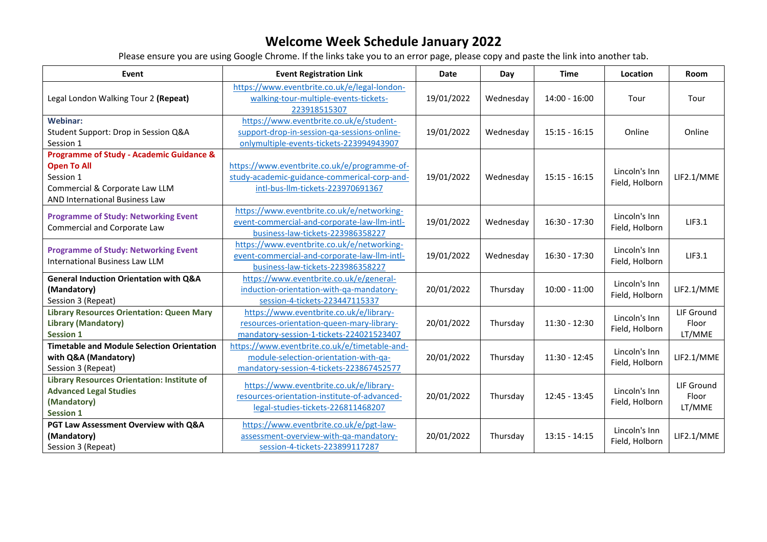| Event                                                                                                                                                             | <b>Event Registration Link</b>                                                                                                     | <b>Date</b> | Day       | <b>Time</b>     | Location                        | Room                          |
|-------------------------------------------------------------------------------------------------------------------------------------------------------------------|------------------------------------------------------------------------------------------------------------------------------------|-------------|-----------|-----------------|---------------------------------|-------------------------------|
| Legal London Walking Tour 2 (Repeat)                                                                                                                              | https://www.eventbrite.co.uk/e/legal-london-<br>walking-tour-multiple-events-tickets-<br>223918515307                              | 19/01/2022  | Wednesday | $14:00 - 16:00$ | Tour                            | Tour                          |
| <b>Webinar:</b><br>Student Support: Drop in Session Q&A<br>Session 1                                                                                              | https://www.eventbrite.co.uk/e/student-<br>support-drop-in-session-qa-sessions-online-<br>onlymultiple-events-tickets-223994943907 | 19/01/2022  | Wednesday | $15:15 - 16:15$ | Online                          | Online                        |
| <b>Programme of Study - Academic Guidance &amp;</b><br><b>Open To All</b><br>Session 1<br>Commercial & Corporate Law LLM<br><b>AND International Business Law</b> | https://www.eventbrite.co.uk/e/programme-of-<br>study-academic-guidance-commerical-corp-and-<br>intl-bus-Ilm-tickets-223970691367  | 19/01/2022  | Wednesday | $15:15 - 16:15$ | Lincoln's Inn<br>Field, Holborn | LIF2.1/MME                    |
| <b>Programme of Study: Networking Event</b><br>Commercial and Corporate Law                                                                                       | https://www.eventbrite.co.uk/e/networking-<br>event-commercial-and-corporate-law-llm-intl-<br>business-law-tickets-223986358227    | 19/01/2022  | Wednesday | 16:30 - 17:30   | Lincoln's Inn<br>Field, Holborn | LIF3.1                        |
| <b>Programme of Study: Networking Event</b><br><b>International Business Law LLM</b>                                                                              | https://www.eventbrite.co.uk/e/networking-<br>event-commercial-and-corporate-law-llm-intl-<br>business-law-tickets-223986358227    | 19/01/2022  | Wednesday | 16:30 - 17:30   | Lincoln's Inn<br>Field, Holborn | LIF3.1                        |
| <b>General Induction Orientation with Q&amp;A</b><br>(Mandatory)<br>Session 3 (Repeat)                                                                            | https://www.eventbrite.co.uk/e/general-<br>induction-orientation-with-qa-mandatory-<br>session-4-tickets-223447115337              | 20/01/2022  | Thursday  | $10:00 - 11:00$ | Lincoln's Inn<br>Field, Holborn | LIF2.1/MME                    |
| <b>Library Resources Orientation: Queen Mary</b><br><b>Library (Mandatory)</b><br><b>Session 1</b>                                                                | https://www.eventbrite.co.uk/e/library-<br>resources-orientation-queen-mary-library-<br>mandatory-session-1-tickets-224021523407   | 20/01/2022  | Thursday  | 11:30 - 12:30   | Lincoln's Inn<br>Field, Holborn | LIF Ground<br>Floor<br>LT/MME |
| <b>Timetable and Module Selection Orientation</b><br>with Q&A (Mandatory)<br>Session 3 (Repeat)                                                                   | https://www.eventbrite.co.uk/e/timetable-and-<br>module-selection-orientation-with-qa-<br>mandatory-session-4-tickets-223867452577 | 20/01/2022  | Thursday  | $11:30 - 12:45$ | Lincoln's Inn<br>Field, Holborn | LIF2.1/MME                    |
| <b>Library Resources Orientation: Institute of</b><br><b>Advanced Legal Studies</b><br>(Mandatory)<br><b>Session 1</b>                                            | https://www.eventbrite.co.uk/e/library-<br>resources-orientation-institute-of-advanced-<br>legal-studies-tickets-226811468207      | 20/01/2022  | Thursday  | 12:45 - 13:45   | Lincoln's Inn<br>Field, Holborn | LIF Ground<br>Floor<br>LT/MME |
| PGT Law Assessment Overview with Q&A<br>(Mandatory)<br>Session 3 (Repeat)                                                                                         | https://www.eventbrite.co.uk/e/pgt-law-<br>assessment-overview-with-qa-mandatory-<br>session-4-tickets-223899117287                | 20/01/2022  | Thursday  | $13:15 - 14:15$ | Lincoln's Inn<br>Field, Holborn | LIF2.1/MME                    |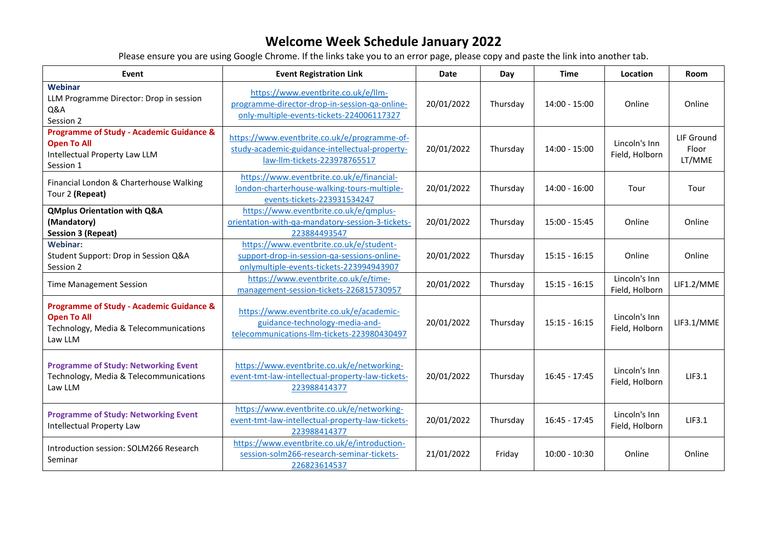| Event                                                                                                                          | <b>Event Registration Link</b>                                                                                                     | <b>Date</b> | Day      | <b>Time</b>     | Location                        | Room                          |
|--------------------------------------------------------------------------------------------------------------------------------|------------------------------------------------------------------------------------------------------------------------------------|-------------|----------|-----------------|---------------------------------|-------------------------------|
| Webinar<br>LLM Programme Director: Drop in session<br>Q&A<br>Session 2                                                         | https://www.eventbrite.co.uk/e/llm-<br>programme-director-drop-in-session-qa-online-<br>only-multiple-events-tickets-224006117327  | 20/01/2022  | Thursday | $14:00 - 15:00$ | Online                          | Online                        |
| <b>Programme of Study - Academic Guidance &amp;</b><br><b>Open To All</b><br>Intellectual Property Law LLM<br>Session 1        | https://www.eventbrite.co.uk/e/programme-of-<br>study-academic-guidance-intellectual-property-<br>law-llm-tickets-223978765517     | 20/01/2022  | Thursday | $14:00 - 15:00$ | Lincoln's Inn<br>Field, Holborn | LIF Ground<br>Floor<br>LT/MME |
| Financial London & Charterhouse Walking<br>Tour 2 (Repeat)                                                                     | https://www.eventbrite.co.uk/e/financial-<br>london-charterhouse-walking-tours-multiple-<br>events-tickets-223931534247            | 20/01/2022  | Thursday | $14:00 - 16:00$ | Tour                            | Tour                          |
| <b>QMplus Orientation with Q&amp;A</b><br>(Mandatory)<br><b>Session 3 (Repeat)</b>                                             | https://www.eventbrite.co.uk/e/qmplus-<br>orientation-with-qa-mandatory-session-3-tickets-<br>223884493547                         | 20/01/2022  | Thursday | $15:00 - 15:45$ | Online                          | Online                        |
| <b>Webinar:</b><br>Student Support: Drop in Session Q&A<br>Session 2                                                           | https://www.eventbrite.co.uk/e/student-<br>support-drop-in-session-qa-sessions-online-<br>onlymultiple-events-tickets-223994943907 | 20/01/2022  | Thursday | $15:15 - 16:15$ | Online                          | Online                        |
| <b>Time Management Session</b>                                                                                                 | https://www.eventbrite.co.uk/e/time-<br>management-session-tickets-226815730957                                                    | 20/01/2022  | Thursday | $15:15 - 16:15$ | Lincoln's Inn<br>Field, Holborn | LIF1.2/MME                    |
| <b>Programme of Study - Academic Guidance &amp;</b><br><b>Open To All</b><br>Technology, Media & Telecommunications<br>Law LLM | https://www.eventbrite.co.uk/e/academic-<br>guidance-technology-media-and-<br>telecommunications-Ilm-tickets-223980430497          | 20/01/2022  | Thursday | $15:15 - 16:15$ | Lincoln's Inn<br>Field, Holborn | LIF3.1/MME                    |
| <b>Programme of Study: Networking Event</b><br>Technology, Media & Telecommunications<br>Law LLM                               | https://www.eventbrite.co.uk/e/networking-<br>event-tmt-law-intellectual-property-law-tickets-<br>223988414377                     | 20/01/2022  | Thursday | $16:45 - 17:45$ | Lincoln's Inn<br>Field, Holborn | LIF3.1                        |
| <b>Programme of Study: Networking Event</b><br>Intellectual Property Law                                                       | https://www.eventbrite.co.uk/e/networking-<br>event-tmt-law-intellectual-property-law-tickets-<br>223988414377                     | 20/01/2022  | Thursday | $16:45 - 17:45$ | Lincoln's Inn<br>Field, Holborn | LIF3.1                        |
| Introduction session: SOLM266 Research<br>Seminar                                                                              | https://www.eventbrite.co.uk/e/introduction-<br>session-solm266-research-seminar-tickets-<br>226823614537                          | 21/01/2022  | Friday   | $10:00 - 10:30$ | Online                          | Online                        |